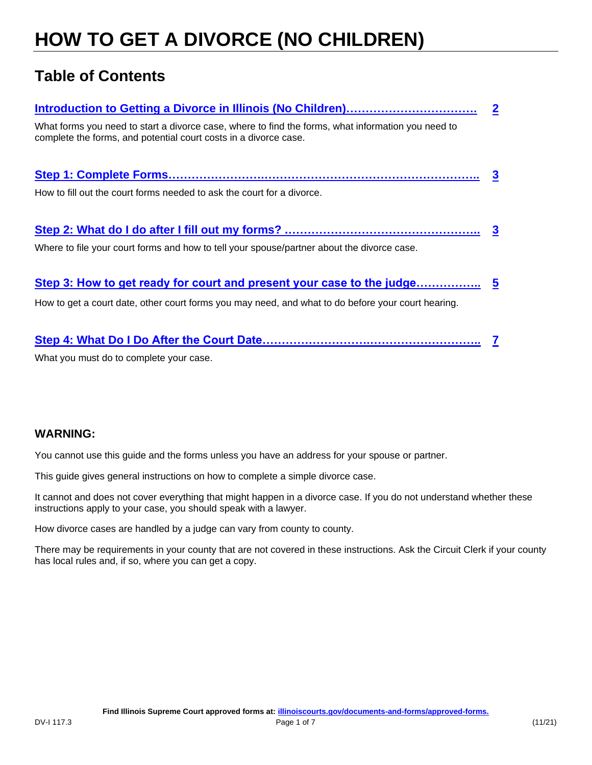# **HOW TO GET A DIVORCE (NO CHILDREN)**

## **Table of Contents**

| What forms you need to start a divorce case, where to find the forms, what information you need to<br>complete the forms, and potential court costs in a divorce case.<br>How to fill out the court forms needed to ask the court for a divorce. | $\mathbf 2$ |
|--------------------------------------------------------------------------------------------------------------------------------------------------------------------------------------------------------------------------------------------------|-------------|
|                                                                                                                                                                                                                                                  |             |
|                                                                                                                                                                                                                                                  |             |
|                                                                                                                                                                                                                                                  |             |
|                                                                                                                                                                                                                                                  |             |
| Where to file your court forms and how to tell your spouse/partner about the divorce case.                                                                                                                                                       |             |
|                                                                                                                                                                                                                                                  |             |
|                                                                                                                                                                                                                                                  |             |
| How to get a court date, other court forms you may need, and what to do before your court hearing.                                                                                                                                               |             |

**[Step 4: What Do I Do After the Court Date……………………….………………………..](#page-6-0) [7](#page-6-0)** 

What you must do to complete your case.

### **WARNING:**

You cannot use this guide and the forms unless you have an address for your spouse or partner.

This guide gives general instructions on how to complete a simple divorce case.

It cannot and does not cover everything that might happen in a divorce case. If you do not understand whether these instructions apply to your case, you should speak with a lawyer.

How divorce cases are handled by a judge can vary from county to county.

There may be requirements in your county that are not covered in these instructions. Ask the Circuit Clerk if your county has local rules and, if so, where you can get a copy.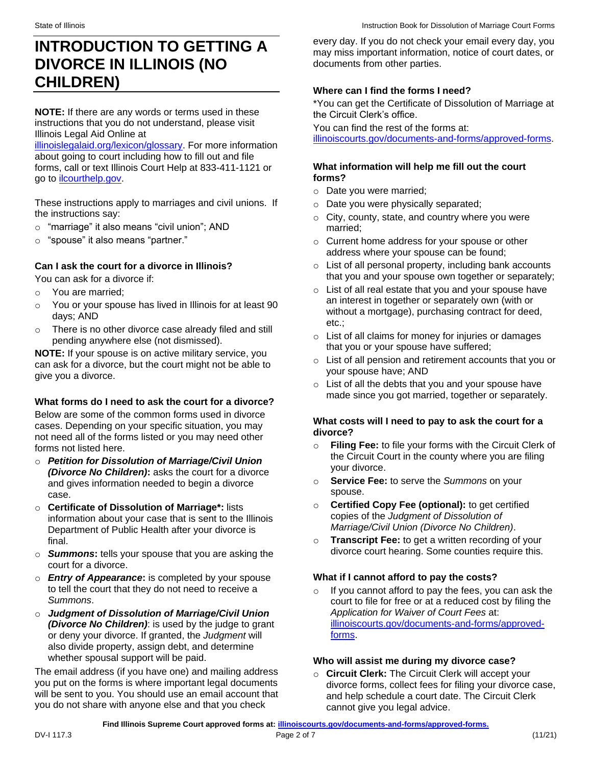## <span id="page-1-0"></span>**INTRODUCTION TO GETTING A DIVORCE IN ILLINOIS (NO CHILDREN)**

**NOTE:** If there are any words or terms used in these instructions that you do not understand, please visit Illinois Legal Aid Online at

[illinoislegalaid.org/lexicon/glossary.](https://www.illinoislegalaid.org/lexicon/glossary) For more information about going to court including how to fill out and file forms, call or text Illinois Court Help at 833-411-1121 or go to [ilcourthelp.gov.](https://www.ilcourthelp.gov/hc/en-us)

 These instructions apply to marriages and civil unions. If the instructions say:

- o "marriage" it also means "civil union"; AND
- o "spouse" it also means "partner."

### **Can I ask the court for a divorce in Illinois?**

You can ask for a divorce if:

- o You are married;
- o You or your spouse has lived in Illinois for at least 90 days; AND
- o There is no other divorce case already filed and still pending anywhere else (not dismissed).

**NOTE:** If your spouse is on active military service, you can ask for a divorce, but the court might not be able to give you a divorce.

### **What forms do I need to ask the court for a divorce?**

Below are some of the common forms used in divorce cases. Depending on your specific situation, you may not need all of the forms listed or you may need other forms not listed here.

- o *Petition for Dissolution of Marriage/Civil Union (Divorce No Children)***:** asks the court for a divorce and gives information needed to begin a divorce case.
- o **Certificate of Dissolution of Marriage\*:** lists information about your case that is sent to the Illinois Department of Public Health after your divorce is final.
- o *Summons***:** tells your spouse that you are asking the court for a divorce.
- o *Entry of Appearance***:** is completed by your spouse to tell the court that they do not need to receive a *Summons*.
- o *Judgment of Dissolution of Marriage/Civil Union (Divorce No Children)*: is used by the judge to grant or deny your divorce. If granted, the *Judgment* will also divide property, assign debt, and determine whether spousal support will be paid.

The email address (if you have one) and mailing address you put on the forms is where important legal documents will be sent to you. You should use an email account that you do not share with anyone else and that you check

every day. If you do not check your email every day, you may miss important information, notice of court dates, or documents from other parties.

### **Where can I find the forms I need?**

\*You can get the Certificate of Dissolution of Marriage at the Circuit Clerk's office.

You can find the rest of the forms at: [illinoiscourts.gov/documents-and-forms/approved-forms.](https://www.illinoiscourts.gov/documents-and-forms/approved-forms/)

### **What information will help me fill out the court forms?**

- o Date you were married;
- o Date you were physically separated;
- $\circ$  City, county, state, and country where you were married;
- o Current home address for your spouse or other address where your spouse can be found;
- $\circ$  List of all personal property, including bank accounts that you and your spouse own together or separately;
- o List of all real estate that you and your spouse have an interest in together or separately own (with or without a mortgage), purchasing contract for deed, etc.;
- $\circ$  List of all claims for money for injuries or damages that you or your spouse have suffered;
- o List of all pension and retirement accounts that you or your spouse have; AND
- $\circ$  List of all the debts that you and your spouse have made since you got married, together or separately.

### **What costs will I need to pay to ask the court for a divorce?**

- o **Filing Fee:** to file your forms with the Circuit Clerk of the Circuit Court in the county where you are filing your divorce.
- o **Service Fee:** to serve the *Summons* on your spouse.
- o **Certified Copy Fee (optional):** to get certified copies of the *Judgment of Dissolution of Marriage/Civil Union (Divorce No Children)*.
- o **Transcript Fee:** to get a written recording of your divorce court hearing. Some counties require this.

### **What if I cannot afford to pay the costs?**

o If you cannot afford to pay the fees, you can ask the court to file for free or at a reduced cost by filing the *Application for Waiver of Court Fees* at: [illinoiscourts.gov/documents-and-forms/approved](https://www.illinoiscourts.gov/documents-and-forms/approved-forms/)[forms.](https://www.illinoiscourts.gov/documents-and-forms/approved-forms/)

#### **Who will assist me during my divorce case?**

o **Circuit Clerk:** The Circuit Clerk will accept your divorce forms, collect fees for filing your divorce case, and help schedule a court date. The Circuit Clerk cannot give you legal advice.

**Find Illinois Supreme Court approved forms at[: illinoiscourts.gov/documents-and-forms/approved-forms.](https://www.illinoiscourts.gov/documents-and-forms/approved-forms/)**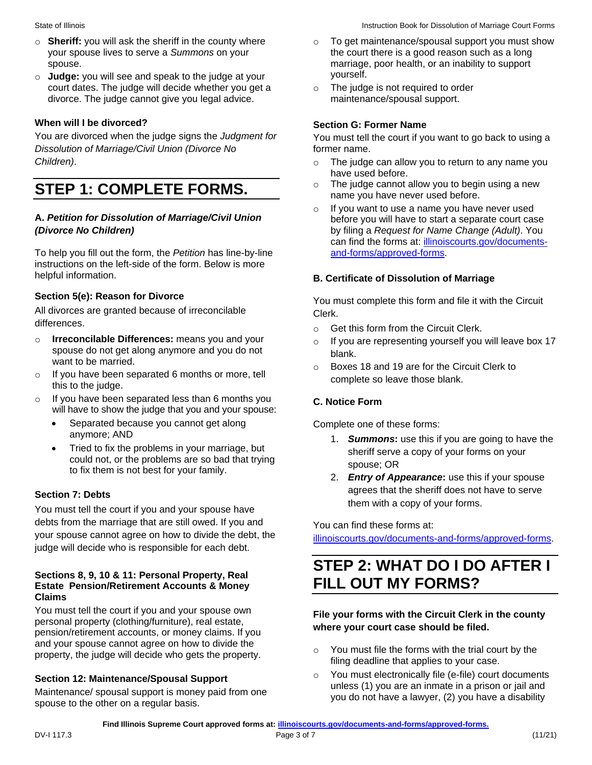- o **Sheriff:** you will ask the sheriff in the county where your spouse lives to serve a *Summons* on your spouse.
- o **Judge:** you will see and speak to the judge at your court dates. The judge will decide whether you get a divorce. The judge cannot give you legal advice.

### **When will I be divorced?**

You are divorced when the judge signs the *Judgment for Dissolution of Marriage/Civil Union (Divorce No Children)*.

### <span id="page-2-0"></span>**STEP 1: COMPLETE FORMS.**

### **A.** *Petition for Dissolution of Marriage/Civil Union (Divorce No Children)*

To help you fill out the form, the *Petition* has line-by-line instructions on the left-side of the form. Below is more helpful information.

### **Section 5(e): Reason for Divorce**

All divorces are granted because of irreconcilable differences.

- o **Irreconcilable Differences:** means you and your spouse do not get along anymore and you do not want to be married.
- o If you have been separated 6 months or more, tell this to the judge.
- will have to show the judge that you and your spouse: o If you have been separated less than 6 months you
	- Separated because you cannot get along anymore; AND
	- Tried to fix the problems in your marriage, but could not, or the problems are so bad that trying to fix them is not best for your family.

### **Section 7: Debts**

You must tell the court if you and your spouse have debts from the marriage that are still owed. If you and your spouse cannot agree on how to divide the debt, the judge will decide who is responsible for each debt.

#### **Sections 8, 9, 10 & 11: Personal Property, Real Estate Pension/Retirement Accounts & Money Claims**

You must tell the court if you and your spouse own personal property (clothing/furniture), real estate, pension/retirement accounts, or money claims. If you and your spouse cannot agree on how to divide the property, the judge will decide who gets the property.

#### **Section 12: Maintenance/Spousal Support**

Maintenance/ spousal support is money paid from one spouse to the other on a regular basis.

- o To get maintenance/spousal support you must show the court there is a good reason such as a long marriage, poor health, or an inability to support yourself.
- o The judge is not required to order maintenance/spousal support.

### **Section G: Former Name**

You must tell the court if you want to go back to using a former name.

- $\circ$  The judge can allow you to return to any name you have used before.
- $\circ$  The judge cannot allow you to begin using a new name you have never used before.
- o If you want to use a name you have never used before you will have to start a separate court case by filing a *Request for Name Change (Adult)*. You can find the forms at: [illinoiscourts.gov/documents](https://www.illinoiscourts.gov/documents-and-forms/approved-forms/)[and-forms/approved-forms.](https://www.illinoiscourts.gov/documents-and-forms/approved-forms/)

### **B. Certificate of Dissolution of Marriage**

You must complete this form and file it with the Circuit Clerk.

- o Get this form from the Circuit Clerk.
- o If you are representing yourself you will leave box 17 blank.
- o Boxes 18 and 19 are for the Circuit Clerk to complete so leave those blank.

### **C. Notice Form**

Complete one of these forms:

- 1. *Summons***:** use this if you are going to have the sheriff serve a copy of your forms on your spouse; OR
- 2. *Entry of Appearance***:** use this if your spouse agrees that the sheriff does not have to serve them with a copy of your forms.

You can find these forms at:

[illinoiscourts.gov/documents-and-forms/approved-forms.](https://www.illinoiscourts.gov/documents-and-forms/approved-forms/)

### <span id="page-2-1"></span>**STEP 2: WHAT DO I DO AFTER I FILL OUT MY FORMS?**

### **File your forms with the Circuit Clerk in the county where your court case should be filed.**

- o You must file the forms with the trial court by the filing deadline that applies to your case.
- o You must electronically file (e-file) court documents unless (1) you are an inmate in a prison or jail and you do not have a lawyer, (2) you have a disability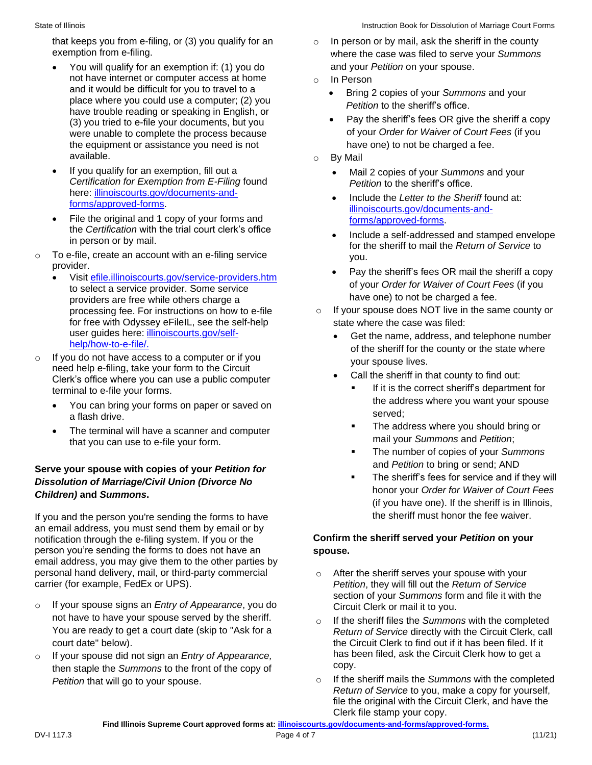- You will qualify for an exemption if: (1) you do and your *Petition* on your spouse. not have internet or computer access at home<br>and it would be difficult for you to travel to a and it would be difficult for you to travel to a<br>
place where you could use a computer; (2) you<br>
have trouble reading or speaking in English, or<br>
(3) you tried to e-file your documents, but you<br>
were unable to complete the were unable to complete the process because the equipment or assistance you need is not have one) to not be charged a fee. available. **Example 20** or  $\overline{a}$  by Mail control of  $\overline{b}$
- • If you qualify for an exemption, fill out a Mail 2 copies of your *Summons* and your *Certification for Exemption from E-Filing found Petition to the sheriff's office.<br>
here: illinoiscourts.gov/documents-and-*
- there: [illinoiscourts.gov/documents-and-](https://www.illinoiscourts.gov/documents-and-forms/approved-forms/)<br> [forms/approved-forms.](https://www.illinoiscourts.gov/documents-and-forms/approved-forms/)<br>
File the original and 1 copy of your forms and<br>
the Certification with the trial court clerk's office<br>
in person or by mail.<br>
File the original and 1 copy of
- - providers are free while others charge a have one) to not be charged a fee. for free with Odyssey eFileIL, see the self-help state where the case was filed:
- o If you do not have access to a computer or if you<br>
need help e-filing, take your form to the Circuit<br>
Clerk's office where you can use a public computer<br>
terminal to e-file your forms.<br>
terminal to e-file your forms.<br>
a
	- You can bring your forms on paper or saved on the address where you want your spouse<br>a flash drive.<br>The terminal will be you a connect and computer a served;<br>The address where you should bring or
	- The address where you should bring or The terminal will have a scanner and computer mail your *Summons* and *Petition*; that you can use to e-file your form. The number of copies of your *Summons*

# **Serve your spouse with copies of your** *Petition for* **and** *Petition* **to bring or send; AND<br><b>Dissolution of Marriage/Civil Union (Divorce No Example 1991)** The sheriff's fees for service and if they will **Children** bonor

If you and the person you're sending the forms to have the sheriff must honor the fee waiver. an email address, you must send them by email or by notification through the e-filing system. If you or the **Confirm the sheriff served your** *Petition* **on your**  person you're sending the forms to does not have an **spouse.**  email address, you may give them to the other parties by personal hand delivery, mail, or third-party commercial  $\circ$  After the sheriff serves your spouse with your carrier (for example, FedEx or UPS). *Petition*, they will fill out the *Return of Service* 

- o If your spouse signs an *Entry of Appearance*, you do Circuit Clerk or mail it to you. not have to have your spouse served by the sheriff.<br>You are ready to get a court date (skip to "Ask for a **Refull of Senvice directly with the Circuit Clerk** call
- copy. then staple the *Summons* to the front of the copy of
- that keeps you from e-filing, or (3) you qualify for an  $\Box$  o In person or by mail, ask the sheriff in the county exemption from e-filing. where the case was filed to serve your *Summons* 
	- -
		-
	- -
		-
		-
- To e-file, create an account with an e-filing service<br>
provider.<br>
 Visit <u>efile.illinoiscourts.gov/service-providers.htm</u><br>
to select a service provider. Some service<br>
service service<br>
to select a service provider. Some
	- processing fee. For instructions on how to e-file  $\Box$  o If your spouse does NOT live in the same county or
	- user guides here: <u>illinoiscourts.gov/self-</u> Get the name, address, and telephone number<br>[help/how-to-e-file/.](https://www.illinoiscourts.gov/self-help/how-to-e-file/)<br>If you do not have access to a computer or if you
		- -
			-
			-
- honor your *Order for Waiver of Court Fees Children)* **and** *Summons***.** (if you have one). If the sheriff is in Illinois,

- section of your *Summons* form and file it with the
- Return of Service directly with the Circuit Clerk, call court date" below). the Circuit Clerk to find out if it has been filed. If it o If your spouse did not sign an *Entry of Appearance,* has been filed, ask the Circuit Clerk how to get a
	- *Petition* that will go to your spouse. **o** If the sheriff mails the *Summons* with the completed *Return of Service* to you, make a copy for yourself, file the original with the Circuit Clerk, and have the Clerk file stamp your copy.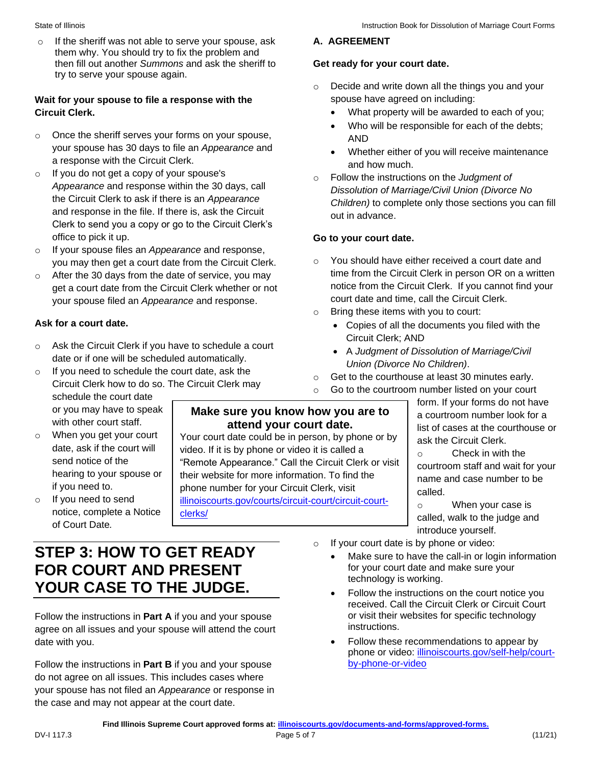o Decide and write down all the things you and your

• What property will be awarded to each of you; Who will be responsible for each of the debts;

• Whether either of you will receive maintenance

 **A. AGREEMENT** 

AND

out in advance.

**Go to your court date.** 

**Get ready for your court date.** 

and how much.

spouse have agreed on including:

o Follow the instructions on the *Judgment of* 

*Dissolution of Marriage/Civil Union (Divorce No Children)* to complete only those sections you can fill

o You should have either received a court date and

court date and time, call the Circuit Clerk.

o Bring these items with you to court:

*Union (Divorce No Children)*.

Circuit Clerk; AND

time from the Circuit Clerk in person OR on a written notice from the Circuit Clerk. If you cannot find your

• Copies of all the documents you filed with the

• A *Judgment of Dissolution of Marriage/Civil* 

o Get to the courthouse at least 30 minutes early.

#### State of Illinois

o If the sheriff was not able to serve your spouse, ask them why. You should try to fix the problem and then fill out another *Summons* and ask the sheriff to try to serve your spouse again.

### **Wait for your spouse to file a response with the Circuit Clerk.**

- o Once the sheriff serves your forms on your spouse, your spouse has 30 days to file an *Appearance* and a response with the Circuit Clerk.
- o If you do not get a copy of your spouse's *Appearance* and response within the 30 days, call the Circuit Clerk to ask if there is an *Appearance*  and response in the file. If there is, ask the Circuit Clerk to send you a copy or go to the Circuit Clerk's office to pick it up.
- o If your spouse files an *Appearance* and response, you may then get a court date from the Circuit Clerk.
- o After the 30 days from the date of service, you may get a court date from the Circuit Clerk whether or not your spouse filed an *Appearance* and response.

### **Ask for a court date.**

- o Ask the Circuit Clerk if you have to schedule a court date or if one will be scheduled automatically.
- o If you need to schedule the court date, ask the Circuit Clerk how to do so. The Circuit Clerk may schedule the court date form. If your forms do not have<br>or you may have to speak **Make sure you know how you are to** a courtroom number look for a<br>**attend your court date**
- 
- notice, complete a Notice clerks/ of Court Date*.*

 $\circ$  When you get your court Your court date could be in person, by phone or by ask the Circuit Clerk.<br>date, ask if the court will video. If it is by phone or video it is called a Send notice of the<br>
Send notice of the "Remote Appearance." Call the Circuit Clerk or visit<br>
if you need to.<br>
Their website for more information. To find the<br>
if you need to. if you need to.<br>If you need to send<br>illinoiscourts.gov/courts/circuit-court/circuit-courto If you need to send [illinoiscourts.gov/courts/circuit-court/circuit-court-](https://www.illinoiscourts.gov/courts/circuit-court/circuit-court-clerks/)

# o Go to the courtroom number listed on your court with other court staff.<br>When you get your court Your court date could be in person, by phone or by<br>each the Circuit Clark

o When your case is called, walk to the judge and introduce yourself.

- o If your court date is by phone or video:
	- Make sure to have the call-in or login information for your court date and make sure your technology is working.
	- Follow the instructions on the court notice you received. Call the Circuit Clerk or Circuit Court or visit their websites for specific technology instructions.
	- Follow these recommendations to appear by phone or video: [illinoiscourts.gov/self-help/court](https://www.illinoiscourts.gov/self-help/court-by-phone-or-video)[by-phone-or-video](https://www.illinoiscourts.gov/self-help/court-by-phone-or-video)

### <span id="page-4-0"></span>**STEP 3: HOW TO GET READY FOR COURT AND PRESENT YOUR CASE TO THE JUDGE.**

Follow the instructions in **Part A** if you and your spouse agree on all issues and your spouse will attend the court date with you.

Follow the instructions in **Part B** if you and your spouse do not agree on all issues. This includes cases where your spouse has not filed an *Appearance* or response in the case and may not appear at the court date.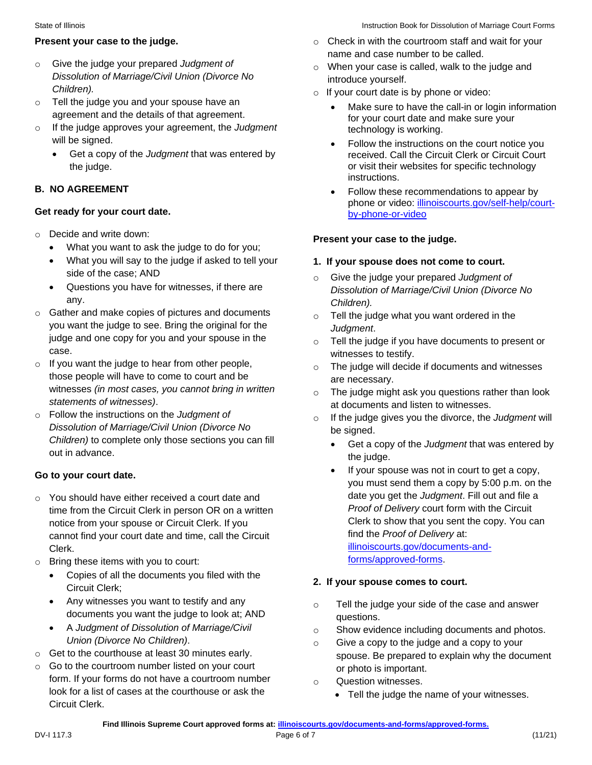- o Give the judge your prepared *Judgment of Dissolution of Marriage/Civil Union (Divorce No Children).*
- o Tell the judge you and your spouse have an agreement and the details of that agreement.
- o If the judge approves your agreement, the *Judgment*  will be signed.
	- Get a copy of the *Judgment* that was entered by the judge.

### **B. NO AGREEMENT**

### **Get ready for your court date.**

- o Decide and write down:
	- What you want to ask the judge to do for you;
	- What you will say to the judge if asked to tell your side of the case; AND
	- Questions you have for witnesses, if there are any.
- o Gather and make copies of pictures and documents you want the judge to see. Bring the original for the judge and one copy for you and your spouse in the case.
- $\circ$  If you want the judge to hear from other people, those people will have to come to court and be witnesses *(in most cases, you cannot bring in written statements of witnesses)*.
- o Follow the instructions on the *Judgment of Dissolution of Marriage/Civil Union (Divorce No Children)* to complete only those sections you can fill out in advance.

### **Go to your court date.**

- o You should have either received a court date and time from the Circuit Clerk in person OR on a written notice from your spouse or Circuit Clerk. If you cannot find your court date and time, call the Circuit Clerk.
- o Bring these items with you to court:
	- Copies of all the documents you filed with the Circuit Clerk;
	- Any witnesses you want to testify and any documents you want the judge to look at; AND
	- A *Judgment of Dissolution of Marriage/Civil Union (Divorce No Children)*.
- o Get to the courthouse at least 30 minutes early.
- o Go to the courtroom number listed on your court form. If your forms do not have a courtroom number look for a list of cases at the courthouse or ask the Circuit Clerk.
- **Present your case to the judge.** *o* **Check in with the courtroom staff and wait for your** name and case number to be called.
	- o When your case is called, walk to the judge and introduce yourself.
	- o If your court date is by phone or video:
		- Make sure to have the call-in or login information for your court date and make sure your technology is working.
		- Follow the instructions on the court notice you received. Call the Circuit Clerk or Circuit Court or visit their websites for specific technology instructions.
		- Follow these recommendations to appear by phone or video: [illinoiscourts.gov/self-help/court](https://www.illinoiscourts.gov/self-help/court-by-phone-or-video)[by-phone-or-video](https://www.illinoiscourts.gov/self-help/court-by-phone-or-video)

### **Present your case to the judge.**

### **1. If your spouse does not come to court.**

- Give the judge your prepared *Judgment of Dissolution of Marriage/Civil Union (Divorce No Children).*
- $\circ$  Tell the judge what you want ordered in the *Judgment*.
- o Tell the judge if you have documents to present or witnesses to testify.
- o The judge will decide if documents and witnesses are necessary.
- o The judge might ask you questions rather than look at documents and listen to witnesses.
- o If the judge gives you the divorce, the *Judgment* will be signed.
	- Get a copy of the *Judgment* that was entered by the judge.
	- If your spouse was not in court to get a copy, you must send them a copy by 5:00 p.m. on the date you get the *Judgment*. Fill out and file a *Proof of Delivery* court form with the Circuit Clerk to show that you sent the copy. You can find the *Proof of Delivery* at: [illinoiscourts.gov/documents-and](https://www.illinoiscourts.gov/documents-and-forms/approved-forms/)[forms/approved-forms.](https://www.illinoiscourts.gov/documents-and-forms/approved-forms/)

### **2. If your spouse comes to court.**

- o Tell the judge your side of the case and answer questions.
- o Show evidence including documents and photos.
- o Give a copy to the judge and a copy to your spouse. Be prepared to explain why the document or photo is important.
- o Question witnesses.
	- Tell the judge the name of your witnesses.